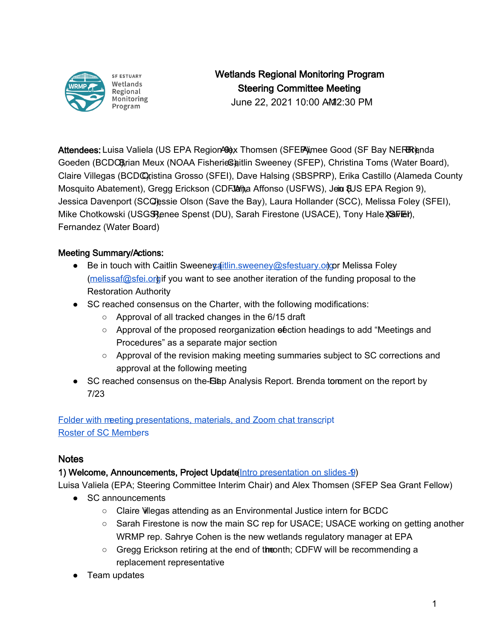

**SF ESTUARY** Wetlands Regional Monitoring Program

# Wetlands Regional Monitoring Program Steering Committee Meeting

June 22, 2021 10:00 AM 2:30 PM

Attendees: Luisa Valiela (US EPA Region 494), Thomsen (SFEP) (imee Good (SF Bay NERR) and Alex Brenda Goeden (BCDC), Brian Meux (NOAA Fisherie Shitlin Sweeney (SFEP), Christina Toms (Water Board), Claire Villegas (BCDC) ristina Grosso (SFEI), Dave Halsing (SBSPRP), Erika Castillo (Alameda County Mosquito Abatement), Gregg Erickson (CDFJ&ma Affonso (USFWS), Jein & US EPA Region 9), Jessica Davenport (SCQ essie Olson (Save the Bay), Laura Hollander (SCC), Melissa Foley (SFEI), Mike Chotkowski (USGS), Penst (DU), Sarah Firestone (USACE), Tony Hale (SaFEI), Fernandez (Water Board)

# Meeting Summary/Actions:

- Be in touch with Caitlin Sweenevaitlin.sweeney@sfestuary.orgpr Melissa Foley [\(melissaf@sfei.org\)](mailto:melissaf@sfei.org) if you want to see another iteration of the funding proposal to the Restoration Authority
- SC reached consensus on the Charter, with the following modifications:
	- Approval of all tracked changes in the 6/15 draft
	- Approval of the proposed reorganization enection headings to add "Meetings and Procedures" as a separate major section
	- Approval of the revision making meeting summaries subject to SC corrections and approval at the following meeting
- SC reached consensus on the-Bap Analysis Report. Brenda tomment on the report by 7/23

[Folder with meeting presentations, materials, and Zoom chat transcri](https://drive.google.com/drive/folders/1emEUq4ZdRu7Rw1SYW-h8auUO_16y5rCY?usp=sharing)pt [Roster of SC Membe](https://docs.google.com/spreadsheets/d/1irwBf2FqK7Nqeww960DWi42-1E-OG4_bv6QH0k0WIGQ/edit?usp=sharing)rs

# Notes

# 1) Welcome, Announcements, Project Update (Intro presentation on slides -9)

Luisa Valiela (EPA; Steering Committee Interim Chair) and Alex Thomsen (SFEP Sea Grant Fellow)

- SC announcements
	- Claire Villegas attending as an Environmental Justice intern for BCDC
	- Sarah Firestone is now the main SC rep for USACE; USACE working on getting another WRMP rep. Sahrye Cohen is the new wetlands regulatory manager at EPA
	- Gregg Erickson retiring at the end of the onth; CDFW will be recommending a replacement representative
- Team updates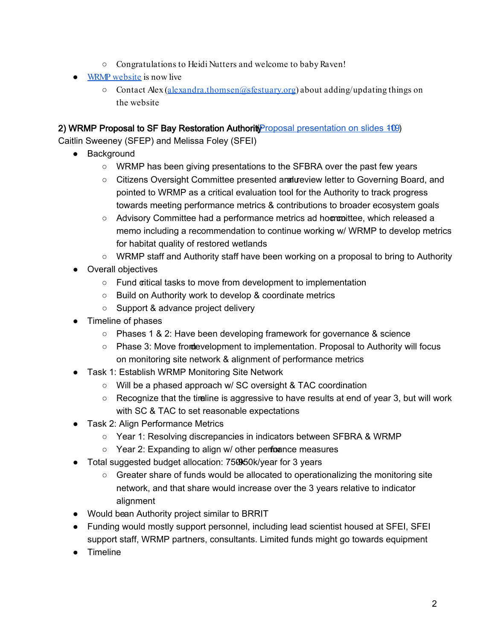- Congratulations to Heidi Nutters and welcome to baby Raven!
- [WRMP website](https://www.wrmp.org/) is now live
	- $\circ$  Contact Alex [\(alexandra.thomsen@sfestuary.org\)](mailto:alexandra.thomsen@sfestuary.org) about adding/updating things on the website

## 2) WRMP Proposal to SF Bay Restoration Authorit Proposal presentation on slides 109)

Caitlin Sweeney (SFEP) and Melissa Foley (SFEI)

- Background
	- WRMP has been giving presentations to the SFBRA over the past few years
	- Citizens Oversight Committee presented annaureview letter to Governing Board, and pointed to WRMP as a critical evaluation tool for the Authority to track progress towards meeting performance metrics & contributions to broader ecosystem goals
	- Advisory Committee had a performance metrics ad hoct committee, which released a memo including a recommendation to continue working w/ WRMP to develop metrics for habitat quality of restored wetlands
	- WRMP staff and Authority staff have been working on a proposal to bring to Authority
- Overall objectives
	- Fund critical tasks to move from development to implementation
	- Build on Authority work to develop & coordinate metrics
	- Support & advance project delivery
- Timeline of phases
	- Phases 1 & 2: Have been developing framework for governance & science
	- Phase 3: Move from development to implementation. Proposal to Authority will focus on monitoring site network & alignment of performance metrics
- Task 1: Establish WRMP Monitoring Site Network
	- Will be a phased approach w/ SC oversight & TAC coordination
	- $\circ$  Recognize that the timeline is aggressive to have results at end of year 3, but will work with SC & TAC to set reasonable expectations
- Task 2: Align Performance Metrics
	- Year 1: Resolving discrepancies in indicators between SFBRA & WRMP
	- $\circ$  Year 2: Expanding to align w/ other perforance measures
- Total suggested budget allocation: 750050k/year for 3 years
	- $\circ$  Greater share of funds would be allocated to operationalizing the monitoring site network, and that share would increase over the 3 years relative to indicator alignment
- Would bean Authority project similar to BRRIT
- Funding would mostly support personnel, including lead scientist housed at SFEI, SFEI support staff, WRMP partners, consultants. Limited funds might go towards equipment
- Timeline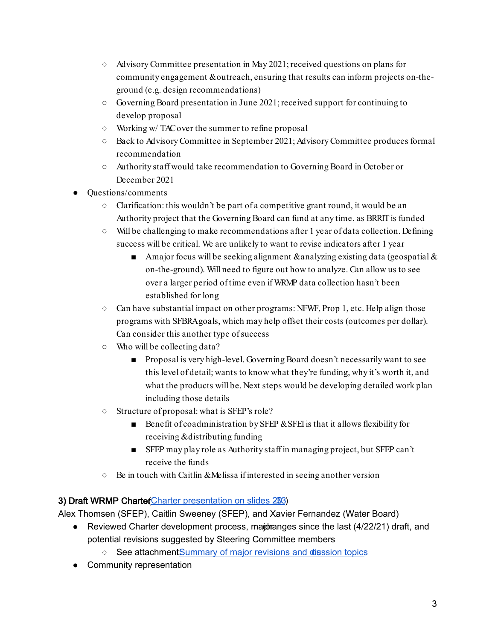- Advisory Committee presentation in May 2021; received questions on plans for community engagement & outreach, ensuring that results can inform projects on-theground (e.g. design recommendations)
- $\circ$  Governing Board presentation in June 2021; received support for continuing to develop proposal
- Working w/ TAC over the summer to refine proposal
- Back to Advisory Committee in September 2021; Advisory Committee produces formal recommendation
- Authority staff would take recommendation to Governing Board in October or December 2021
- Questions/comments
	- $\circ$  Clarification: this wouldn't be part of a competitive grant round, it would be an Authority project that the Governing Board can fund at any time, as BRRIT is funded
	- Will be challenging to make recommendations after 1 year of data collection. Defining success will be critical. We are unlikely to want to revise indicators after 1 year
		- **A** major focus will be seeking alignment & analyzing existing data (geospatial  $\&$ on-the-ground). Will need to figure out how to analyze. Can allow us to see over a larger period of time even if WRMP data collection hasn't been established for long
	- $\circ$  Can have substantial impact on other programs: NFWF, Prop 1, etc. Help align those programs with SFBRA goals, which may help offset their costs (outcomes per dollar). Can consider this another type of success
	- Who will be collecting data?
		- Proposal is very high-level. Governing Board doesn't necessarily want to see this level of detail; wants to know what they're funding, why it's worth it, and what the products will be. Next steps would be developing detailed work plan including those details
	- Structure of proposal: what is SFEP's role?
		- Benefit of coadministration by SFEP & SFEI is that it allows flexibility for receiving & distributing funding
		- SFEP may play role as Authority staff in managing project, but SFEP can't receive the funds
	- Be in touch with Caitlin & Melissa if interested in seeing another version

# 3) Draft WRMP Charter Charter presentation on slides 283)

Alex Thomsen (SFEP), Caitlin Sweeney (SFEP), and Xavier Fernandez (Water Board)

- Reviewed Charter development process, major and proce the last  $(4/22/21)$  draft, and potential revisions suggested by Steering Committee members
	- See attachmentSummary of major revisions and dission topics
- Community representation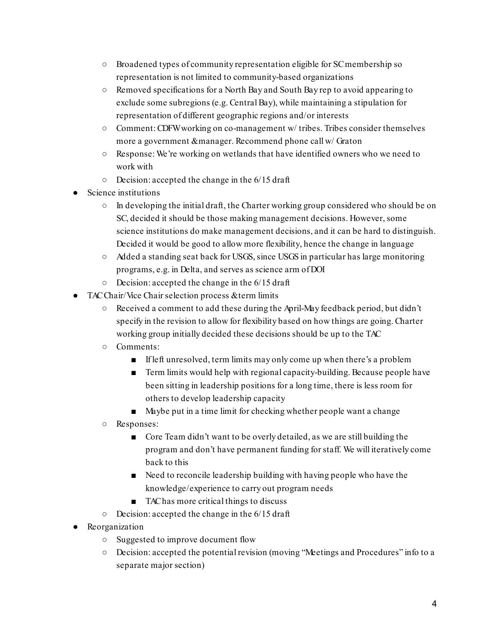- Broadened types of community representation eligible for SC membership so representation is not limited to community-based organizations
- Removed specifications for a North Bay and South Bay rep to avoid appearing to exclude some subregions (e.g. Central Bay), while maintaining a stipulation for representation of different geographic regions and/or interests
- Comment: CDFW working on co-management w/ tribes. Tribes consider themselves more a government & manager. Recommend phone call w/ Graton
- Response: We're working on wetlands that have identified owners who we need to work with
- Decision: accepted the change in the 6/15 draft
- Science institutions
	- $\circ$  In developing the initial draft, the Charter working group considered who should be on SC, decided it should be those making management decisions. However, some science institutions do make management decisions, and it can be hard to distinguish. Decided it would be good to allow more flexibility, hence the change in language
	- Added a standing seat back for USGS, since USGS in particular has large monitoring programs, e.g. in Delta, and serves as science arm of DOI
	- $\circ$  Decision: accepted the change in the 6/15 draft
- TAC Chair/Vice Chair selection process & term limits
	- Received a comment to add these during the April-May feedback period, but didn't specify in the revision to allow for flexibility based on how things are going. Charter working group initially decided these decisions should be up to the TAC
	- Comments:
		- If left unresolved, term limits may only come up when there's a problem
		- Term limits would help with regional capacity-building. Because people have been sitting in leadership positions for a long time, there is less room for others to develop leadership capacity
		- Maybe put in a time limit for checking whether people want a change
	- Responses:
		- Core Team didn't want to be overly detailed, as we are still building the program and don't have permanent funding for staff. We will iteratively come back to this
		- Need to reconcile leadership building with having people who have the knowledge/experience to carry out program needs
		- TAC has more critical things to discuss
	- $\circ$  Decision: accepted the change in the 6/15 draft
- Reorganization
	- Suggested to improve document flow
	- Decision: accepted the potential revision (moving "Meetings and Procedures" info to a separate major section)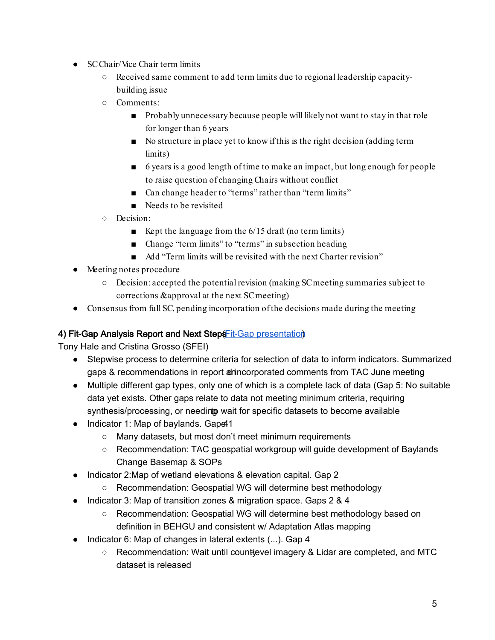- SC Chair/Vice Chair term limits
	- Received same comment to add term limits due to regional leadership capacitybuilding issue
	- Comments:
		- Probably unnecessary because people will likely not want to stay in that role for longer than 6 years
		- No structure in place yet to know if this is the right decision (adding term limits)
		- 6 years is a good length of time to make an impact, but long enough for people to raise question of changing Chairs without conflict
		- Can change header to "terms" rather than "term limits"
		- Needs to be revisited
	- Decision:
		- Exept the language from the  $6/15$  draft (no term limits)
		- Change "term limits" to "terms" in subsection heading
		- Add "Term limits will be revisited with the next Charter revision"
- Meeting notes procedure
	- Decision: accepted the potential revision (making SC meeting summaries subject to corrections & approval at the next SC meeting)
- Consensus from full SC, pending incorporation of the decisions made during the meeting

# 4) Fit-Gap Analy[s](https://docs.google.com/presentation/d/1G-mn5X_wIJZ-RgO9p4LbYH0DFrD7gzqbHiMt3imEzYA/edit?usp=sharing)is Report and Next Steps Fit-Gap presentation

Tony Hale and Cristina Grosso (SFEI)

- Stepwise process to determine criteria for selection of data to inform indicators. Summarized gaps & recommendations in report anincorporated comments from TAC June meeting
- Multiple different gap types, only one of which is a complete lack of data (Gap 5: No suitable data yet exists. Other gaps relate to data not meeting minimum criteria, requiring synthesis/processing, or needing wait for specific datasets to become available
- Indicator 1: Map of baylands. Gaps41
	- Many datasets, but most don't meet minimum requirements
	- Recommendation: TAC geospatial workgroup will guide development of Baylands Change Basemap & SOPs
- Indicator 2: Map of wetland elevations & elevation capital. Gap 2
	- Recommendation: Geospatial WG will determine best methodology
- Indicator 3: Map of transition zones & migration space. Gaps 2 & 4
	- Recommendation: Geospatial WG will determine best methodology based on definition in BEHGU and consistent w/ Adaptation Atlas mapping
- Indicator 6: Map of changes in lateral extents (...). Gap 4
	- $\circ$  Recommendation: Wait until countlevel imagery & Lidar are completed, and MTC dataset is released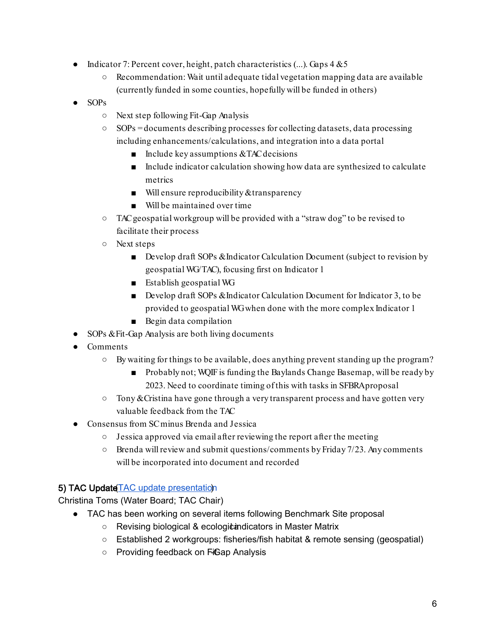- Indicator 7: Percent cover, height, patch characteristics  $(...)$ . Gaps  $4 \& 5$ 
	- $\circ$  Recommendation: Wait until adequate tidal vegetation mapping data are available (currently funded in some counties, hopefully will be funded in others)
- $\bullet$  SOPs
	- Next step following Fit-Gap Analysis
	- SOPs = documents describing processes for collecting datasets, data processing including enhancements/calculations, and integration into a data portal
		- $\blacksquare$  Include key assumptions & TAC decisions
		- Include indicator calculation showing how data are synthesized to calculate metrics
		- Will ensure reproducibility & transparency
		- Will be maintained over time
	- TAC geospatial workgroup will be provided with a "straw dog" to be revised to facilitate their process
	- Next steps
		- Develop draft SOPs & Indicator Calculation Document (subject to revision by geospatial WG/TAC), focusing first on Indicator 1
		- Establish geospatial WG
		- Develop draft SOPs & Indicator Calculation Document for Indicator 3, to be provided to geospatial WG when done with the more complex Indicator 1
		- Begin data compilation
- SOPs & Fit-Gap Analysis are both living documents
- Comments
	- By waiting for things to be available, does anything prevent standing up the program?
		- Probably not; WQIF is funding the Baylands Change Basemap, will be ready by 2023. Need to coordinate timing of this with tasks in SFBRA proposal
	- $\circ$  Tony & Cristina have gone through a very transparent process and have gotten very valuable feedback from the TAC
- Consensus from SC minus Brenda and Jessica
	- Jessica approved via email after reviewing the report after the meeting
	- $\circ$  Brenda will review and submit questions/comments by Friday 7/23. Any comments will be incorporated into document and recorded

### 5) TAC Updat[e](https://docs.google.com/presentation/d/1W6eXB72Sl_MFoqPMkm6SYCqxb3X1xx2ON870Akb0Qzc/edit?usp=sharing) TAC update presentation

Christina Toms (Water Board; TAC Chair)

- TAC has been working on several items following Benchmark Site proposal
	- Revising biological & ecologic indicators in Master Matrix
	- Established 2 workgroups: fisheries/fish habitat & remote sensing (geospatial)
	- Providing feedback on FiGap Analysis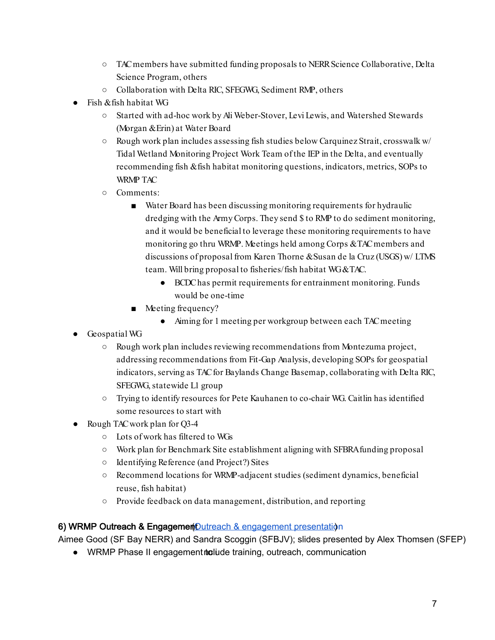- TAC members have submitted funding proposals to NERR Science Collaborative, Delta Science Program, others
- Collaboration with Delta RIC, SFEGWG, Sediment RMP, others
- Fish & fish habitat WG
	- Started with ad-hoc work by Ali Weber-Stover, Levi Lewis, and Watershed Stewards (Morgan & Erin) at Water Board
	- $\circ$  Rough work plan includes assessing fish studies below Carquinez Strait, crosswalk w/ Tidal Wetland Monitoring Project Work Team of the IEP in the Delta, and eventually recommending fish & fish habitat monitoring questions, indicators, metrics, SOPs to WRMP TAC
	- Comments:
		- Water Board has been discussing monitoring requirements for hydraulic dredging with the Army Corps. They send \$ to RMP to do sediment monitoring, and it would be beneficial to leverage these monitoring requirements to have monitoring go thru WRMP. Meetings held among Corps & TAC members and discussions of proposal from Karen Thorne & Susan de la Cruz (USGS) w/ LTMS team. Will bring proposal to fisheries/fish habitat WG & TAC.
			- BCDC has permit requirements for entrainment monitoring. Funds would be one-time
		- Meeting frequency?
			- Aiming for 1 meeting per workgroup between each TAC meeting
- Geospatial WG
	- Rough work plan includes reviewing recommendations from Montezuma project, addressing recommendations from Fit-Gap Analysis, developing SOPs for geospatial indicators, serving as TAC for Baylands Change Basemap, collaborating with Delta RIC, SFEGWG, statewide L1 group
	- Trying to identify resources for Pete Kauhanen to co-chair WG. Caitlin has identified some resources to start with
- Rough TAC work plan for Q3-4
	- Lots of work has filtered to WGs
	- Work plan for Benchmark Site establishment aligning with SFBRA funding proposal
	- Identifying Reference (and Project?) Sites
	- Recommend locations for WRMP-adjacent studies (sediment dynamics, beneficial reuse, fish habitat)
	- Provide feedback on data management, distribution, and reporting

### 6[\)](https://drive.google.com/file/d/1iADJOPulk9ZeY8NUUpladOKoZBnZX1yL/view?usp=sharing) WRMP Outreach & Engagement Outreach & engagement presentation

Aimee Good (SF Bay NERR) and Sandra Scoggin (SFBJV); slides presented by Alex Thomsen (SFEP)

• WRMP Phase II engagementiculude training, outreach, communication